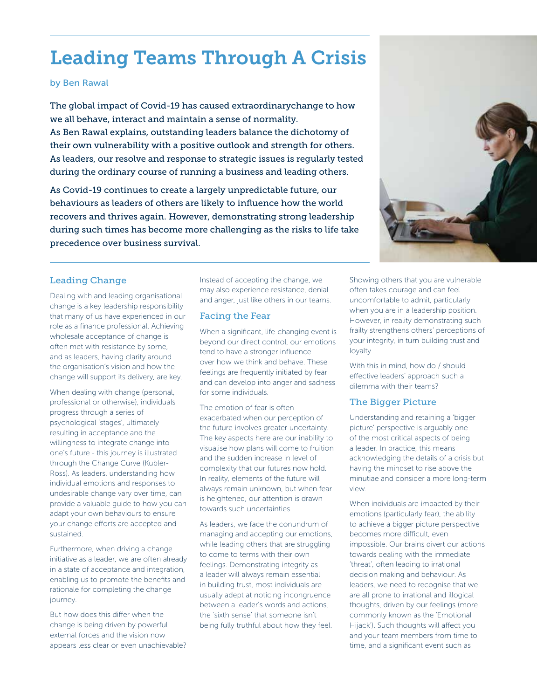# Leading Teams Through A Crisis

## by Ben Rawal

The global impact of Covid-19 has caused extraordinarychange to how we all behave, interact and maintain a sense of normality. As Ben Rawal explains, outstanding leaders balance the dichotomy of their own vulnerability with a positive outlook and strength for others. As leaders, our resolve and response to strategic issues is regularly tested during the ordinary course of running a business and leading others.

As Covid-19 continues to create a largely unpredictable future, our behaviours as leaders of others are likely to influence how the world recovers and thrives again. However, demonstrating strong leadership during such times has become more challenging as the risks to life take precedence over business survival.



# Leading Change

Dealing with and leading organisational change is a key leadership responsibility that many of us have experienced in our role as a finance professional. Achieving wholesale acceptance of change is often met with resistance by some, and as leaders, having clarity around the organisation's vision and how the change will support its delivery, are key.

When dealing with change (personal, professional or otherwise), individuals progress through a series of psychological 'stages', ultimately resulting in acceptance and the willingness to integrate change into one's future - this journey is illustrated through the Change Curve (Kubler-Ross). As leaders, understanding how individual emotions and responses to undesirable change vary over time, can provide a valuable guide to how you can adapt your own behaviours to ensure your change efforts are accepted and sustained.

Furthermore, when driving a change initiative as a leader, we are often already in a state of acceptance and integration, enabling us to promote the benefits and rationale for completing the change journey.

But how does this differ when the change is being driven by powerful external forces and the vision now appears less clear or even unachievable? Instead of accepting the change, we may also experience resistance, denial and anger, just like others in our teams.

# Facing the Fear

When a significant, life-changing event is beyond our direct control, our emotions tend to have a stronger influence over how we think and behave. These feelings are frequently initiated by fear and can develop into anger and sadness for some individuals.

The emotion of fear is often exacerbated when our perception of the future involves greater uncertainty. The key aspects here are our inability to visualise how plans will come to fruition and the sudden increase in level of complexity that our futures now hold. In reality, elements of the future will always remain unknown, but when fear is heightened, our attention is drawn towards such uncertainties.

As leaders, we face the conundrum of managing and accepting our emotions, while leading others that are struggling to come to terms with their own feelings. Demonstrating integrity as a leader will always remain essential in building trust, most individuals are usually adept at noticing incongruence between a leader's words and actions, the 'sixth sense' that someone isn't being fully truthful about how they feel.

Showing others that you are vulnerable often takes courage and can feel uncomfortable to admit, particularly when you are in a leadership position. However, in reality demonstrating such frailty strengthens others' perceptions of your integrity, in turn building trust and loyalty.

With this in mind, how do / should effective leaders' approach such a dilemma with their teams?

# The Bigger Picture

Understanding and retaining a 'bigger picture' perspective is arguably one of the most critical aspects of being a leader. In practice, this means acknowledging the details of a crisis but having the mindset to rise above the minutiae and consider a more long-term view.

When individuals are impacted by their emotions (particularly fear), the ability to achieve a bigger picture perspective becomes more difficult, even impossible. Our brains divert our actions towards dealing with the immediate 'threat', often leading to irrational decision making and behaviour. As leaders, we need to recognise that we are all prone to irrational and illogical thoughts, driven by our feelings (more commonly known as the 'Emotional Hijack'). Such thoughts will affect you and your team members from time to time, and a significant event such as